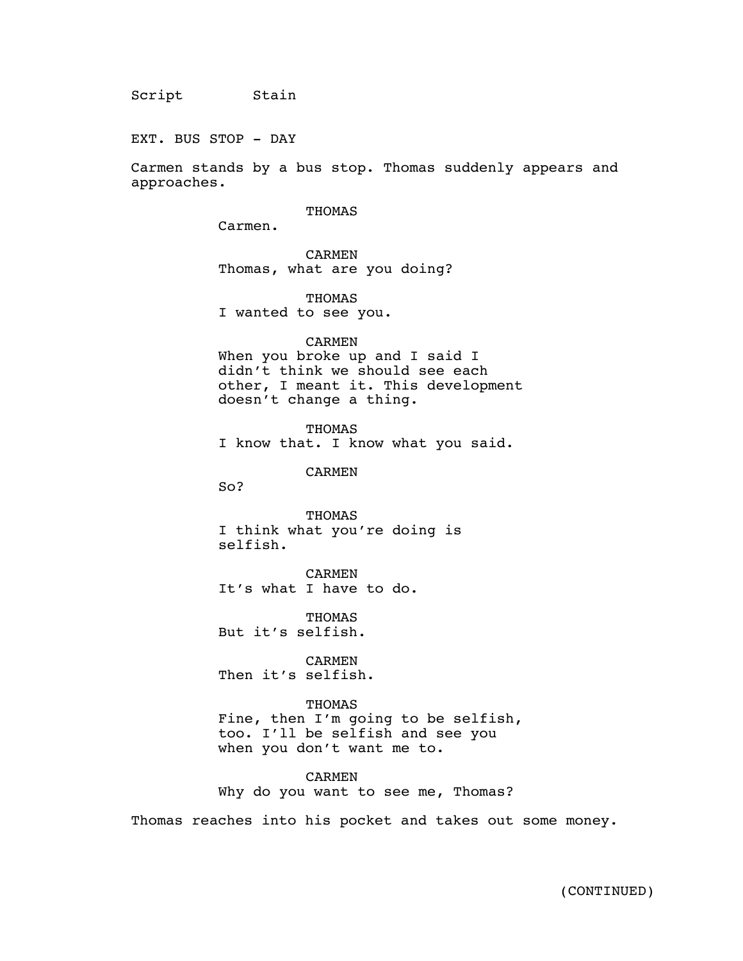EXT. BUS STOP - DAY

Carmen stands by a bus stop. Thomas suddenly appears and approaches.

 $\mathcal{A}_{\mathcal{A}}$  and  $\mathcal{A}_{\mathcal{A}}$ 

# THOMAS

Carmen.

CARMEN Thomas, what are you doing?

**THOMAS** I wanted to see you.

#### CARMEN

When you broke up and I said I didn't think we should see each other, I meant it. This development doesn't change a thing.

THOMAS I know that. I know what you said.

CARMEN

So?

THOMAS I think what you're doing is selfish.

CARMEN It's what I have to do.

THOMAS But it's selfish.

CARMEN Then it's selfish.

THOMAS Fine, then I'm going to be selfish, too. I'll be selfish and see you when you don't want me to.

CARMEN Why do you want to see me, Thomas?

Thomas reaches into his pocket and takes out some money.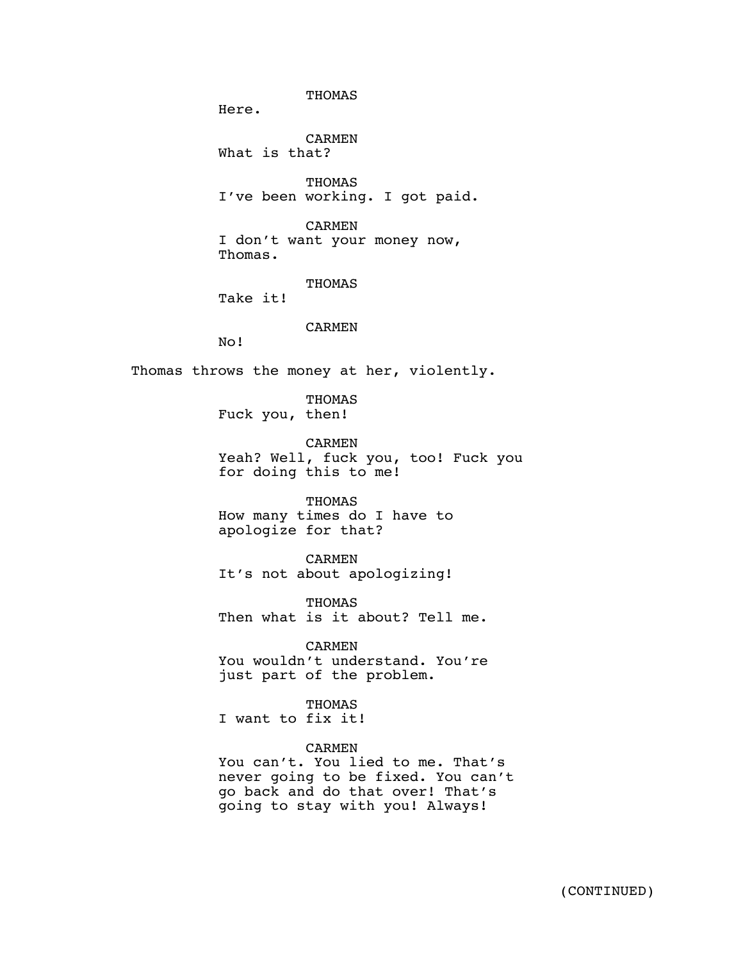THOMAS Here. CARMEN What is that? THOMAS I've been working. I got paid. CARMEN I don't want your money now, Thomas. THOMAS Take it! CARMEN No! Thomas throws the money at her, violently. THOMAS Fuck you, then! CARMEN Yeah? Well, fuck you, too! Fuck you for doing this to me! THOMAS How many times do I have to apologize for that? CARMEN It's not about apologizing! THOMAS Then what is it about? Tell me. CARMEN You wouldn't understand. You're just part of the problem. THOMAS I want to fix it! CARMEN You can't. You lied to me. That's never going to be fixed. You can't go back and do that over! That's going to stay with you! Always!